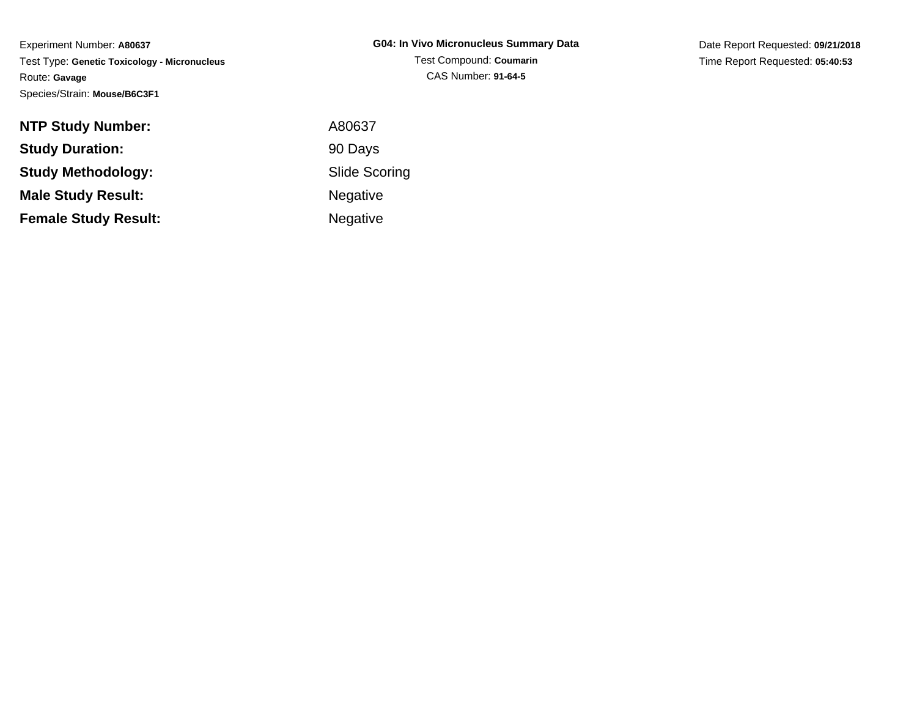Date Report Requested: **09/21/2018**Time Report Requested: **05:40:53**

| <b>NTP Study Number:</b>    | A80637               |
|-----------------------------|----------------------|
| <b>Study Duration:</b>      | 90 Days              |
| <b>Study Methodology:</b>   | <b>Slide Scoring</b> |
| <b>Male Study Result:</b>   | <b>Negative</b>      |
| <b>Female Study Result:</b> | <b>Negative</b>      |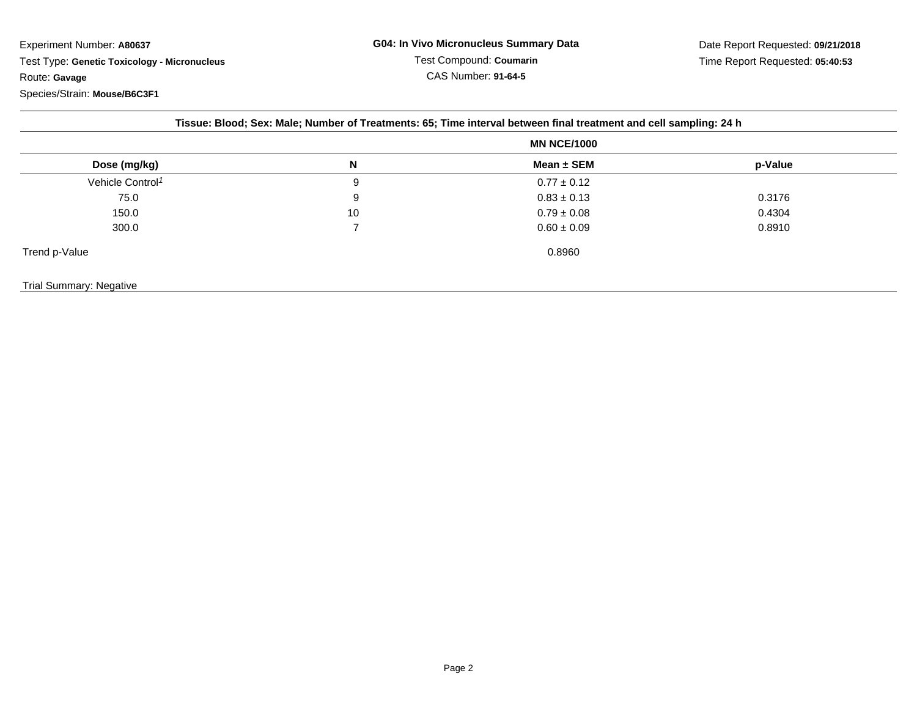|                              | <b>MN NCE/1000</b> |                 |         |
|------------------------------|--------------------|-----------------|---------|
| Dose (mg/kg)                 | N                  | Mean $\pm$ SEM  | p-Value |
| Vehicle Control <sup>1</sup> | 9                  | $0.77 \pm 0.12$ |         |
| 75.0                         | 9                  | $0.83 \pm 0.13$ | 0.3176  |
| 150.0                        | 10                 | $0.79 \pm 0.08$ | 0.4304  |
| 300.0                        |                    | $0.60 \pm 0.09$ | 0.8910  |
| Trend p-Value                |                    | 0.8960          |         |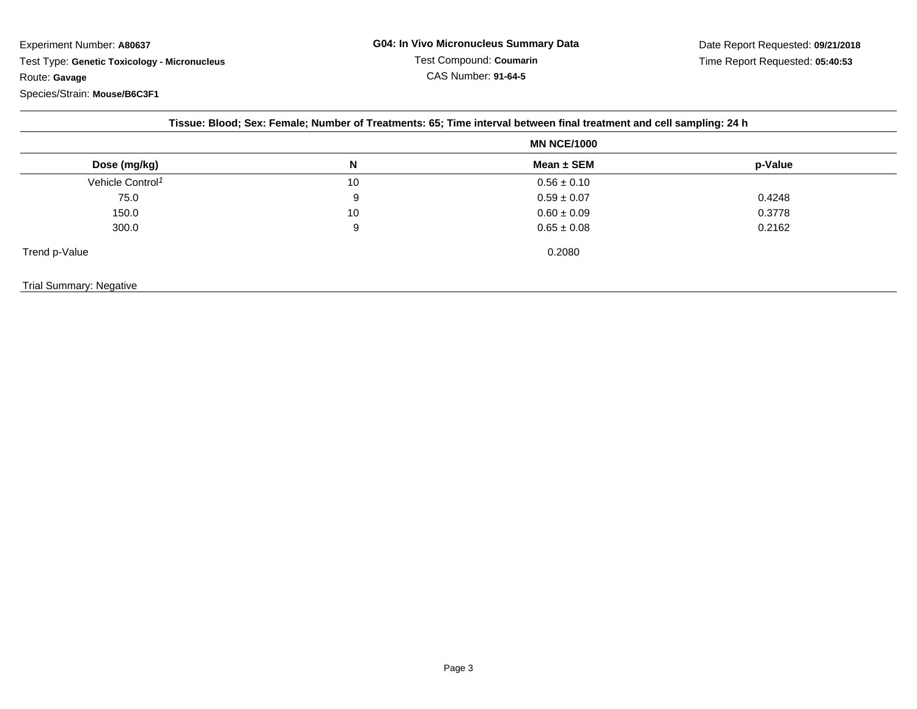|                              | <b>MN NCE/1000</b> |                 |         |
|------------------------------|--------------------|-----------------|---------|
| Dose (mg/kg)                 | N                  | Mean ± SEM      | p-Value |
| Vehicle Control <sup>1</sup> | 10                 | $0.56 \pm 0.10$ |         |
| 75.0                         | 9                  | $0.59 \pm 0.07$ | 0.4248  |
| 150.0                        | 10                 | $0.60 \pm 0.09$ | 0.3778  |
| 300.0                        | 9                  | $0.65 \pm 0.08$ | 0.2162  |
| Trend p-Value                |                    | 0.2080          |         |